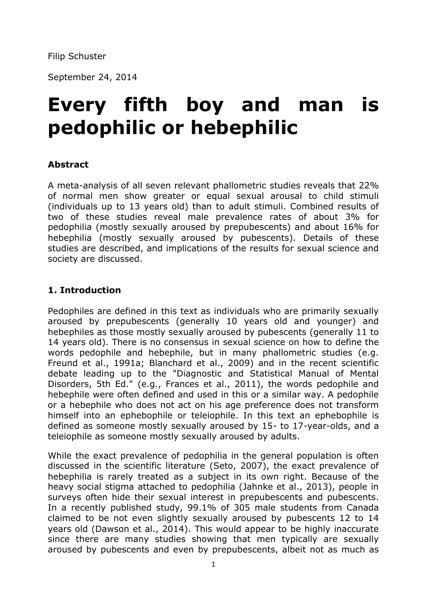September 24, 2014

# **Every fifth boy and man is pedophilic or hebephilic**

## **Abstract**

A meta-analysis of all seven relevant phallometric studies reveals that 22% of normal men show greater or equal sexual arousal to child stimuli (individuals up to 13 years old) than to adult stimuli. Combined results of two of these studies reveal male prevalence rates of about 3% for pedophilia (mostly sexually aroused by prepubescents) and about 16% for hebephilia (mostly sexually aroused by pubescents). Details of these studies are described, and implications of the results for sexual science and society are discussed.

## **1. Introduction**

Pedophiles are defined in this text as individuals who are primarily sexually aroused by prepubescents (generally 10 years old and younger) and hebephiles as those mostly sexually aroused by pubescents (generally 11 to 14 years old). There is no consensus in sexual science on how to define the words pedophile and hebephile, but in many phallometric studies (e.g. Freund et al., 1991a; Blanchard et al., 2009) and in the recent scientific debate leading up to the "Diagnostic and Statistical Manual of Mental Disorders, 5th Ed." (e.g., Frances et al., 2011), the words pedophile and hebephile were often defined and used in this or a similar way. A pedophile or a hebephile who does not act on his age preference does not transform himself into an ephebophile or teleiophile. In this text an ephebophile is defined as someone mostly sexually aroused by 15- to 17-year-olds, and a teleiophile as someone mostly sexually aroused by adults.

While the exact prevalence of pedophilia in the general population is often discussed in the scientific literature (Seto, 2007), the exact prevalence of hebephilia is rarely treated as a subject in its own right. Because of the heavy social stigma attached to pedophilia (Jahnke et al., 2013), people in surveys often hide their sexual interest in prepubescents and pubescents. In a recently published study, 99.1% of 305 male students from Canada claimed to be not even slightly sexually aroused by pubescents 12 to 14 years old (Dawson et al., 2014). This would appear to be highly inaccurate since there are many studies showing that men typically are sexually aroused by pubescents and even by prepubescents, albeit not as much as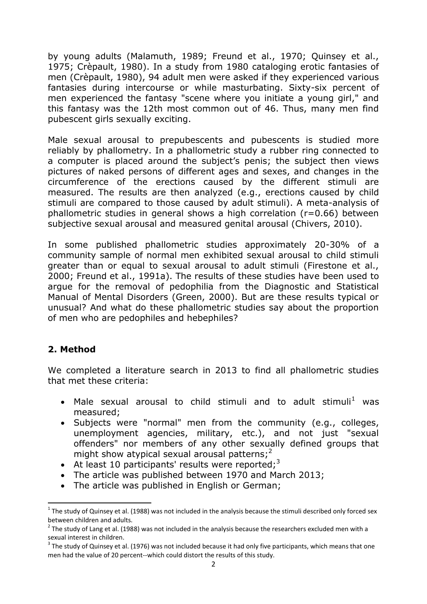by young adults (Malamuth, 1989; Freund et al., 1970; Quinsey et al., 1975; Crèpault, 1980). In a study from 1980 cataloging erotic fantasies of men (Crèpault, 1980), 94 adult men were asked if they experienced various fantasies during intercourse or while masturbating. Sixty-six percent of men experienced the fantasy "scene where you initiate a young girl," and this fantasy was the 12th most common out of 46. Thus, many men find pubescent girls sexually exciting.

Male sexual arousal to prepubescents and pubescents is studied more reliably by phallometry. In a phallometric study a rubber ring connected to a computer is placed around the subject's penis; the subject then views pictures of naked persons of different ages and sexes, and changes in the circumference of the erections caused by the different stimuli are measured. The results are then analyzed (e.g., erections caused by child stimuli are compared to those caused by adult stimuli). A meta-analysis of phallometric studies in general shows a high correlation (r=0.66) between subjective sexual arousal and measured genital arousal (Chivers, 2010).

In some published phallometric studies approximately 20-30% of a community sample of normal men exhibited sexual arousal to child stimuli greater than or equal to sexual arousal to adult stimuli (Firestone et al., 2000; Freund et al., 1991a). The results of these studies have been used to argue for the removal of pedophilia from the Diagnostic and Statistical Manual of Mental Disorders (Green, 2000). But are these results typical or unusual? And what do these phallometric studies say about the proportion of men who are pedophiles and hebephiles?

## **2. Method**

**.** 

We completed a literature search in 2013 to find all phallometric studies that met these criteria:

- Male sexual arousal to child stimuli and to adult stimuli<sup>1</sup> was measured;
- Subjects were "normal" men from the community (e.g., colleges, unemployment agencies, military, etc.), and not just "sexual offenders" nor members of any other sexually defined groups that might show atypical sexual arousal patterns; $2$
- At least 10 participants' results were reported;<sup>3</sup>
- The article was published between 1970 and March 2013:
- The article was published in English or German;

 $1$  The study of Quinsey et al. (1988) was not included in the analysis because the stimuli described only forced sex between children and adults.

 $2$  The study of Lang et al. (1988) was not included in the analysis because the researchers excluded men with a sexual interest in children.

 $3$  The study of Quinsey et al. (1976) was not included because it had only five participants, which means that one men had the value of 20 percent--which could distort the results of this study.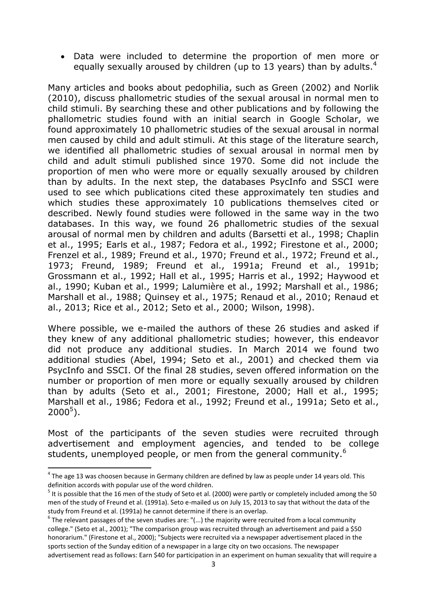Data were included to determine the proportion of men more or equally sexually aroused by children (up to 13 years) than by adults.<sup>4</sup>

Many articles and books about pedophilia, such as Green (2002) and Norlik (2010), discuss phallometric studies of the sexual arousal in normal men to child stimuli. By searching these and other publications and by following the phallometric studies found with an initial search in Google Scholar, we found approximately 10 phallometric studies of the sexual arousal in normal men caused by child and adult stimuli. At this stage of the literature search, we identified all phallometric studies of sexual arousal in normal men by child and adult stimuli published since 1970. Some did not include the proportion of men who were more or equally sexually aroused by children than by adults. In the next step, the databases PsycInfo and SSCI were used to see which publications cited these approximately ten studies and which studies these approximately 10 publications themselves cited or described. Newly found studies were followed in the same way in the two databases. In this way, we found 26 phallometric studies of the sexual arousal of normal men by children and adults (Barsetti et al., 1998; Chaplin et al., 1995; Earls et al., 1987; Fedora et al., 1992; Firestone et al., 2000; Frenzel et al., 1989; Freund et al., 1970; Freund et al., 1972; Freund et al., 1973; Freund, 1989; Freund et al., 1991a; Freund et al., 1991b; Grossmann et al., 1992; Hall et al., 1995; Harris et al., 1992; Haywood et al., 1990; Kuban et al., 1999; Lalumière et al., 1992; Marshall et al., 1986; Marshall et al., 1988; Quinsey et al., 1975; Renaud et al., 2010; Renaud et al., 2013; Rice et al., 2012; Seto et al., 2000; Wilson, 1998).

Where possible, we e-mailed the authors of these 26 studies and asked if they knew of any additional phallometric studies; however, this endeavor did not produce any additional studies. In March 2014 we found two additional studies (Abel, 1994; Seto et al., 2001) and checked them via PsycInfo and SSCI. Of the final 28 studies, seven offered information on the number or proportion of men more or equally sexually aroused by children than by adults (Seto et al., 2001; Firestone, 2000; Hall et al., 1995; Marshall et al., 1986; Fedora et al., 1992; Freund et al., 1991a; Seto et al.,  $2000^5$ ).

Most of the participants of the seven studies were recruited through advertisement and employment agencies, and tended to be college students, unemployed people, or men from the general community.<sup>6</sup>

**.** 

 $^4$  The age 13 was choosen because in Germany children are defined by law as people under 14 years old. This definition accords with popular use of the word children.

 $<sup>5</sup>$  It is possible that the 16 men of the study of Seto et al. (2000) were partly or completely included among the 50</sup> men of the study of Freund et al. (1991a). Seto e-mailed us on July 15, 2013 to say that without the data of the study from Freund et al. (1991a) he cannot determine if there is an overlap.

 $^6$  The relevant passages of the seven studies are: "(...) the majority were recruited from a local community college." (Seto et al., 2001); "The comparison group was recruited through an advertisement and paid a \$50 honorarium." (Firestone et al., 2000); "Subjects were recruited via a newspaper advertisement placed in the sports section of the Sunday edition of a newspaper in a large city on two occasions. The newspaper advertisement read as follows: Earn \$40 for participation in an experiment on human sexuality that will require a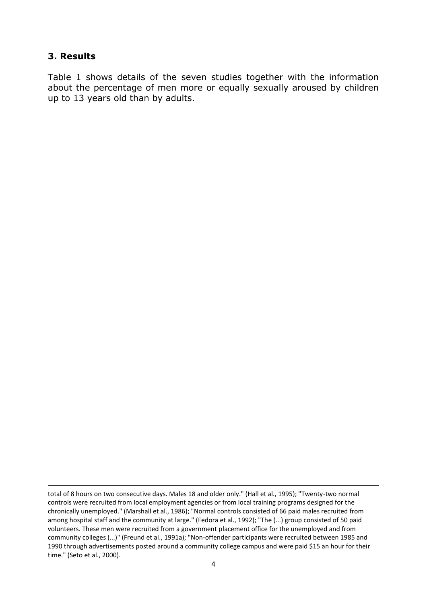## **3. Results**

**.** 

Table 1 shows details of the seven studies together with the information about the percentage of men more or equally sexually aroused by children up to 13 years old than by adults.

total of 8 hours on two consecutive days. Males 18 and older only." (Hall et al., 1995); "Twenty-two normal controls were recruited from local employment agencies or from local training programs designed for the chronically unemployed." (Marshall et al., 1986); "Normal controls consisted of 66 paid males recruited from among hospital staff and the community at large." (Fedora et al., 1992); "The (...) group consisted of 50 paid volunteers. These men were recruited from a government placement office for the unemployed and from community colleges (...)" (Freund et al., 1991a); "Non-offender participants were recruited between 1985 and 1990 through advertisements posted around a community college campus and were paid \$15 an hour for their time." (Seto et al., 2000).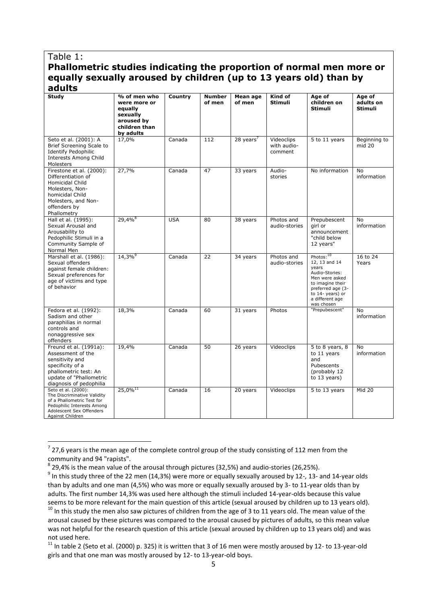#### Table 1: **Phallometric studies indicating the proportion of normal men more or equally sexually aroused by children (up to 13 years old) than by adults**

| <b>Study</b>                                                                                                                                                         | % of men who<br>were more or<br>equally<br>sexually<br>aroused by<br>children than<br>by adults | Country    | <b>Number</b><br>of men | Mean age<br>of men    | Kind of<br>Stimuli                   | Age of<br>children on<br><b>Stimuli</b>                                                                                                                               | Age of<br>adults on<br><b>Stimuli</b> |
|----------------------------------------------------------------------------------------------------------------------------------------------------------------------|-------------------------------------------------------------------------------------------------|------------|-------------------------|-----------------------|--------------------------------------|-----------------------------------------------------------------------------------------------------------------------------------------------------------------------|---------------------------------------|
| Seto et al. (2001): A<br>Brief Screening Scale to<br><b>Identify Pedophilic</b><br><b>Interests Among Child</b><br>Molesters                                         | 17,0%                                                                                           | Canada     | 112                     | 28 years <sup>7</sup> | Videoclips<br>with audio-<br>comment | 5 to 11 years                                                                                                                                                         | Beginning to<br>mid 20                |
| Firestone et al. (2000):<br>Differentiation of<br><b>Homicidal Child</b><br>Molesters, Non-<br>homicidal Child<br>Molesters, and Non-<br>offenders by<br>Phallometry | 27,7%                                                                                           | Canada     | 47                      | 33 years              | Audio-<br>stories                    | No information                                                                                                                                                        | <b>No</b><br>information              |
| Hall et al. (1995):<br>Sexual Arousal and<br>Arousability to<br>Pedophilic Stimuli in a<br>Community Sample of<br>Normal Men                                         | $29,4%$ <sup>8</sup>                                                                            | <b>USA</b> | 80                      | 38 years              | Photos and<br>audio-stories          | Prepubescent<br>airl or<br>announcement<br>"child below<br>12 years"                                                                                                  | <b>No</b><br>information              |
| Marshall et al. (1986):<br>Sexual offenders<br>against female children:<br>Sexual preferences for<br>age of victims and type<br>of behavior                          | $14,3\%$ <sup>9</sup>                                                                           | Canada     | 22                      | 34 years              | Photos and<br>audio-stories          | Photos: 10<br>12, 13 and 14<br>years<br>Audio-Stories:<br>Men were asked<br>to imagine their<br>preferred age (3-<br>to 14-years) or<br>a different age<br>was chosen | 16 to 24<br>Years                     |
| Fedora et al. (1992):<br>Sadism and other<br>paraphilias in normal<br>controls and<br>nonaggressive sex<br>offenders                                                 | 18,3%                                                                                           | Canada     | 60                      | 31 years              | Photos                               | "Prepubescent"                                                                                                                                                        | <b>No</b><br>information              |
| Freund et al. (1991a):<br>Assessment of the<br>sensitivity and<br>specificity of a<br>phallometric test: An<br>update of "Phallometric<br>diagnosis of pedophilia    | 19,4%                                                                                           | Canada     | 50                      | 26 years              | Videoclips                           | 5 to 8 years, 8<br>to 11 years<br>and<br>Pubescents<br>(probably 12<br>to 13 years)                                                                                   | No<br>information                     |
| Seto et al. (2000):<br>The Discriminative Validity<br>of a Phallometric Test for<br>Pedophilic Interests Among<br>Adolescent Sex Offenders<br>Against Children       | 25,0% <sup>11</sup>                                                                             | Canada     | 16                      | 20 years              | Videoclips                           | 5 to 13 years                                                                                                                                                         | <b>Mid 20</b>                         |

 $^7$  27,6 years is the mean age of the complete control group of the study consisting of 112 men from the community and 94 "rapists".

**.** 

 $^8$  29,4% is the mean value of the arousal through pictures (32,5%) and audio-stories (26,25%).

 $^9$  In this study three of the 22 men (14,3%) were more or equally sexually aroused by 12-, 13- and 14-year olds than by adults and one man (4,5%) who was more or equally sexually aroused by 3- to 11-year olds than by adults. The first number 14,3% was used here although the stimuli included 14-year-olds because this value seems to be more relevant for the main question of this article (sexual aroused by children up to 13 years old).  $^{10}$  In this study the men also saw pictures of children from the age of 3 to 11 years old. The mean value of the arousal caused by these pictures was compared to the arousal caused by pictures of adults, so this mean value was not helpful for the research question of this article (sexual aroused by children up to 13 years old) and was not used here.

 $11$  In table 2 (Seto et al. (2000) p. 325) it is written that 3 of 16 men were mostly aroused by 12- to 13-year-old girls and that one man was mostly aroused by 12- to 13-year-old boys.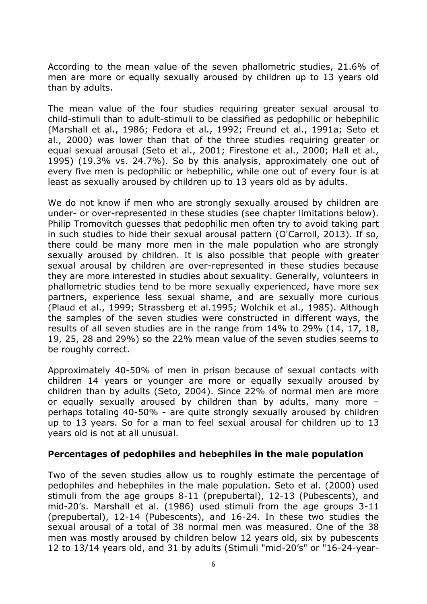According to the mean value of the seven phallometric studies, 21.6% of men are more or equally sexually aroused by children up to 13 years old than by adults.

The mean value of the four studies requiring greater sexual arousal to child-stimuli than to adult-stimuli to be classified as pedophilic or hebephilic (Marshall et al., 1986; Fedora et al., 1992; Freund et al., 1991a; Seto et al., 2000) was lower than that of the three studies requiring greater or equal sexual arousal (Seto et al., 2001; Firestone et al., 2000; Hall et al., 1995) (19.3% vs. 24.7%). So by this analysis, approximately one out of every five men is pedophilic or hebephilic, while one out of every four is at least as sexually aroused by children up to 13 years old as by adults.

We do not know if men who are strongly sexually aroused by children are under- or over-represented in these studies (see chapter limitations below). Philip Tromovitch guesses that pedophilic men often try to avoid taking part in such studies to hide their sexual arousal pattern (O'Carroll, 2013). If so, there could be many more men in the male population who are strongly sexually aroused by children. It is also possible that people with greater sexual arousal by children are over-represented in these studies because they are more interested in studies about sexuality. Generally, volunteers in phallometric studies tend to be more sexually experienced, have more sex partners, experience less sexual shame, and are sexually more curious (Plaud et al., 1999; Strassberg et al.1995; Wolchik et al., 1985). Although the samples of the seven studies were constructed in different ways, the results of all seven studies are in the range from 14% to 29% (14, 17, 18, 19, 25, 28 and 29%) so the 22% mean value of the seven studies seems to be roughly correct.

Approximately 40-50% of men in prison because of sexual contacts with children 14 years or younger are more or equally sexually aroused by children than by adults (Seto, 2004). Since 22% of normal men are more or equally sexually aroused by children than by adults, many more – perhaps totaling 40-50% - are quite strongly sexually aroused by children up to 13 years. So for a man to feel sexual arousal for children up to 13 years old is not at all unusual.

#### **Percentages of pedophiles and hebephiles in the male population**

Two of the seven studies allow us to roughly estimate the percentage of pedophiles and hebephiles in the male population. Seto et al. (2000) used stimuli from the age groups 8-11 (prepubertal), 12-13 (Pubescents), and mid-20's. Marshall et al. (1986) used stimuli from the age groups 3-11 (prepubertal), 12-14 (Pubescents), and 16-24. In these two studies the sexual arousal of a total of 38 normal men was measured. One of the 38 men was mostly aroused by children below 12 years old, six by pubescents 12 to 13/14 years old, and 31 by adults (Stimuli "mid-20's" or "16-24-year-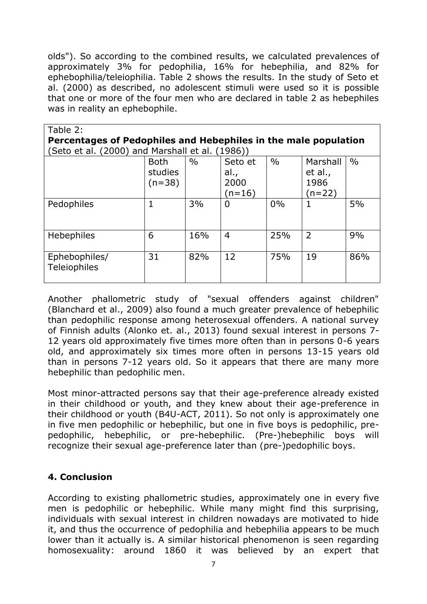olds"). So according to the combined results, we calculated prevalences of approximately 3% for pedophilia, 16% for hebephilia, and 82% for ephebophilia/teleiophilia. Table 2 shows the results. In the study of Seto et al. (2000) as described, no adolescent stimuli were used so it is possible that one or more of the four men who are declared in table 2 as hebephiles was in reality an ephebophile.

| Table 2:<br>Percentages of Pedophiles and Hebephiles in the male population<br>(Seto et al. (2000) and Marshall et al. (1986)) |                                    |               |                                     |               |                                         |               |  |  |  |  |  |
|--------------------------------------------------------------------------------------------------------------------------------|------------------------------------|---------------|-------------------------------------|---------------|-----------------------------------------|---------------|--|--|--|--|--|
|                                                                                                                                | <b>Both</b><br>studies<br>$(n=38)$ | $\frac{0}{0}$ | Seto et<br>al.,<br>2000<br>$(n=16)$ | $\frac{0}{0}$ | Marshall<br>et al.,<br>1986<br>$(n=22)$ | $\frac{0}{0}$ |  |  |  |  |  |
| Pedophiles                                                                                                                     | 1                                  | 3%            | $\Omega$                            | $0\%$         | 1                                       | 5%            |  |  |  |  |  |
| Hebephiles                                                                                                                     | 6                                  | 16%           | 4                                   | 25%           | 2                                       | 9%            |  |  |  |  |  |
| Ephebophiles/<br>Teleiophiles                                                                                                  | 31                                 | 82%           | 12                                  | 75%           | 19                                      | 86%           |  |  |  |  |  |

Another phallometric study of "sexual offenders against children" (Blanchard et al., 2009) also found a much greater prevalence of hebephilic than pedophilic response among heterosexual offenders. A national survey of Finnish adults (Alonko et. al., 2013) found sexual interest in persons 7- 12 years old approximately five times more often than in persons 0-6 years old, and approximately six times more often in persons 13-15 years old than in persons 7-12 years old. So it appears that there are many more hebephilic than pedophilic men.

Most minor-attracted persons say that their age-preference already existed in their childhood or youth, and they knew about their age-preference in their childhood or youth (B4U-ACT, 2011). So not only is approximately one in five men pedophilic or hebephilic, but one in five boys is pedophilic, prepedophilic, hebephilic, or pre-hebephilic. (Pre-)hebephilic boys will recognize their sexual age-preference later than (pre-)pedophilic boys.

# **4. Conclusion**

According to existing phallometric studies, approximately one in every five men is pedophilic or hebephilic. While many might find this surprising, individuals with sexual interest in children nowadays are motivated to hide it, and thus the occurrence of pedophilia and hebephilia appears to be much lower than it actually is. A similar historical phenomenon is seen regarding homosexuality: around 1860 it was believed by an expert that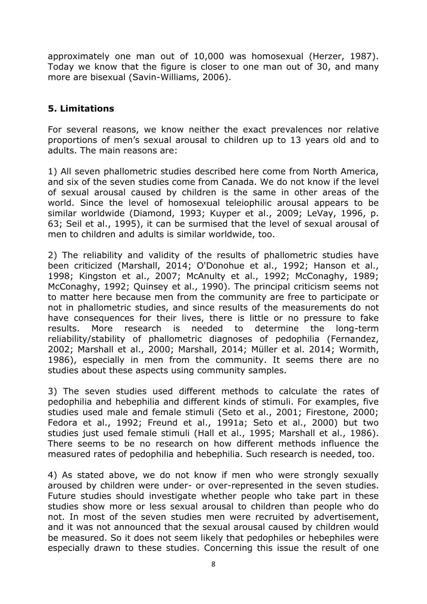approximately one man out of 10,000 was homosexual (Herzer, 1987). Today we know that the figure is closer to one man out of 30, and many more are bisexual (Savin-Williams, 2006).

## **5. Limitations**

For several reasons, we know neither the exact prevalences nor relative proportions of men's sexual arousal to children up to 13 years old and to adults. The main reasons are:

1) All seven phallometric studies described here come from North America, and six of the seven studies come from Canada. We do not know if the level of sexual arousal caused by children is the same in other areas of the world. Since the level of homosexual teleiophilic arousal appears to be similar worldwide (Diamond, 1993; Kuyper et al., 2009; LeVay, 1996, p. 63; Seil et al., 1995), it can be surmised that the level of sexual arousal of men to children and adults is similar worldwide, too.

2) The reliability and validity of the results of phallometric studies have been criticized (Marshall, 2014; O'Donohue et al., 1992; Hanson et al., 1998; Kingston et al., 2007; McAnulty et al., 1992; McConaghy, 1989; McConaghy, 1992; Quinsey et al., 1990). The principal criticism seems not to matter here because men from the community are free to participate or not in phallometric studies, and since results of the measurements do not have consequences for their lives, there is little or no pressure to fake results. More research is needed to determine the long-term reliability/stability of phallometric diagnoses of pedophilia (Fernandez, 2002; Marshall et al., 2000; Marshall, 2014; Müller et al. 2014; Wormith, 1986), especially in men from the community. It seems there are no studies about these aspects using community samples.

3) The seven studies used different methods to calculate the rates of pedophilia and hebephilia and different kinds of stimuli. For examples, five studies used male and female stimuli (Seto et al., 2001; Firestone, 2000; Fedora et al., 1992; Freund et al., 1991a; Seto et al., 2000) but two studies just used female stimuli (Hall et al., 1995; Marshall et al., 1986). There seems to be no research on how different methods influence the measured rates of pedophilia and hebephilia. Such research is needed, too.

4) As stated above, we do not know if men who were strongly sexually aroused by children were under- or over-represented in the seven studies. Future studies should investigate whether people who take part in these studies show more or less sexual arousal to children than people who do not. In most of the seven studies men were recruited by advertisement, and it was not announced that the sexual arousal caused by children would be measured. So it does not seem likely that pedophiles or hebephiles were especially drawn to these studies. Concerning this issue the result of one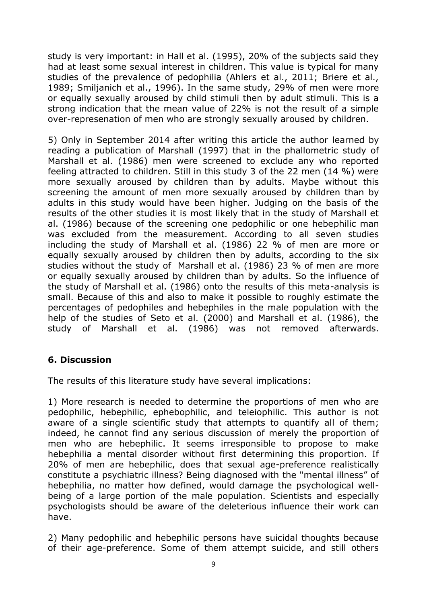study is very important: in Hall et al. (1995), 20% of the subjects said they had at least some sexual interest in children. This value is typical for many studies of the prevalence of pedophilia (Ahlers et al., 2011; Briere et al., 1989; Smiljanich et al., 1996). In the same study, 29% of men were more or equally sexually aroused by child stimuli then by adult stimuli. This is a strong indication that the mean value of 22% is not the result of a simple over-represenation of men who are strongly sexually aroused by children.

5) Only in September 2014 after writing this article the author learned by reading a publication of Marshall (1997) that in the phallometric study of Marshall et al. (1986) men were screened to exclude any who reported feeling attracted to children. Still in this study 3 of the 22 men (14 %) were more sexually aroused by children than by adults. Maybe without this screening the amount of men more sexually aroused by children than by adults in this study would have been higher. Judging on the basis of the results of the other studies it is most likely that in the study of Marshall et al. (1986) because of the screening one pedophilic or one hebephilic man was excluded from the measurement. According to all seven studies including the study of Marshall et al. (1986) 22 % of men are more or equally sexually aroused by children then by adults, according to the six studies without the study of Marshall et al. (1986) 23 % of men are more or equally sexually aroused by children than by adults. So the influence of the study of Marshall et al. (1986) onto the results of this meta-analysis is small. Because of this and also to make it possible to roughly estimate the percentages of pedophiles and hebephiles in the male population with the help of the studies of Seto et al. (2000) and Marshall et al. (1986), the study of Marshall et al. (1986) was not removed afterwards.

## **6. Discussion**

The results of this literature study have several implications:

1) More research is needed to determine the proportions of men who are pedophilic, hebephilic, ephebophilic, and teleiophilic. This author is not aware of a single scientific study that attempts to quantify all of them; indeed, he cannot find any serious discussion of merely the proportion of men who are hebephilic. It seems irresponsible to propose to make hebephilia a mental disorder without first determining this proportion. If 20% of men are hebephilic, does that sexual age-preference realistically constitute a psychiatric illness? Being diagnosed with the "mental illness" of hebephilia, no matter how defined, would damage the psychological wellbeing of a large portion of the male population. Scientists and especially psychologists should be aware of the deleterious influence their work can have.

2) Many pedophilic and hebephilic persons have suicidal thoughts because of their age-preference. Some of them attempt suicide, and still others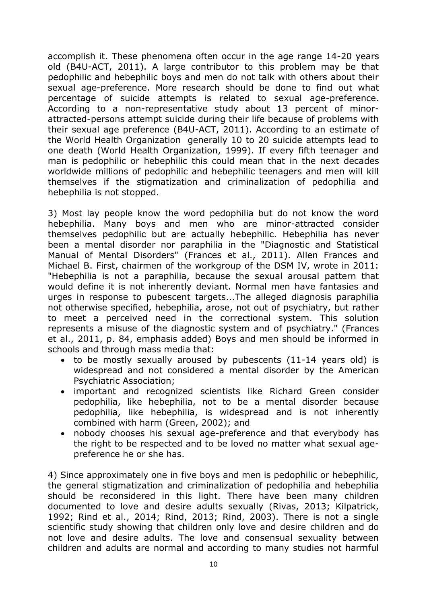accomplish it. These phenomena often occur in the age range 14-20 years old (B4U-ACT, 2011). A large contributor to this problem may be that pedophilic and hebephilic boys and men do not talk with others about their sexual age-preference. More research should be done to find out what percentage of suicide attempts is related to sexual age-preference. According to a non-representative study about 13 percent of minorattracted-persons attempt suicide during their life because of problems with their sexual age preference (B4U-ACT, 2011). According to an estimate of the World Health Organization generally 10 to 20 suicide attempts lead to one death (World Health Organization, 1999). If every fifth teenager and man is pedophilic or hebephilic this could mean that in the next decades worldwide millions of pedophilic and hebephilic teenagers and men will kill themselves if the stigmatization and criminalization of pedophilia and hebephilia is not stopped.

3) Most lay people know the word pedophilia but do not know the word hebephilia. Many boys and men who are minor-attracted consider themselves pedophilic but are actually hebephilic. Hebephilia has never been a mental disorder nor paraphilia in the "Diagnostic and Statistical Manual of Mental Disorders" (Frances et al., 2011). Allen Frances and Michael B. First, chairmen of the workgroup of the DSM IV, wrote in 2011: "Hebephilia is not a paraphilia, because the sexual arousal pattern that would define it is not inherently deviant. Normal men have fantasies and urges in response to pubescent targets...The alleged diagnosis paraphilia not otherwise specified, hebephilia, arose, not out of psychiatry, but rather to meet a perceived need in the correctional system. This solution represents a misuse of the diagnostic system and of psychiatry." (Frances et al., 2011, p. 84, emphasis added) Boys and men should be informed in schools and through mass media that:

- to be mostly sexually aroused by pubescents (11-14 years old) is widespread and not considered a mental disorder by the American Psychiatric Association;
- important and recognized scientists like Richard Green consider pedophilia, like hebephilia, not to be a mental disorder because pedophilia, like hebephilia, is widespread and is not inherently combined with harm (Green, 2002); and
- nobody chooses his sexual age-preference and that everybody has the right to be respected and to be loved no matter what sexual agepreference he or she has.

4) Since approximately one in five boys and men is pedophilic or hebephilic, the general stigmatization and criminalization of pedophilia and hebephilia should be reconsidered in this light. There have been many children documented to love and desire adults sexually (Rivas, 2013; Kilpatrick, 1992; Rind et al., 2014; Rind, 2013; Rind, 2003). There is not a single scientific study showing that children only love and desire children and do not love and desire adults. The love and consensual sexuality between children and adults are normal and according to many studies not harmful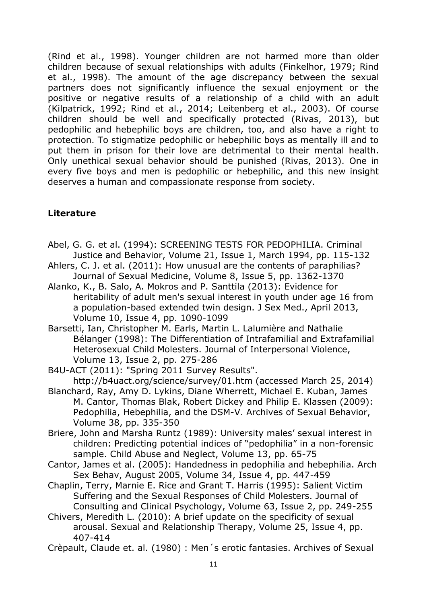(Rind et al., 1998). Younger children are not harmed more than older children because of sexual relationships with adults (Finkelhor, 1979; Rind et al., 1998). The amount of the age discrepancy between the sexual partners does not significantly influence the sexual enjoyment or the positive or negative results of a relationship of a child with an adult (Kilpatrick, 1992; Rind et al., 2014; Leitenberg et al., 2003). Of course children should be well and specifically protected (Rivas, 2013), but pedophilic and hebephilic boys are children, too, and also have a right to protection. To stigmatize pedophilic or hebephilic boys as mentally ill and to put them in prison for their love are detrimental to their mental health. Only unethical sexual behavior should be punished (Rivas, 2013). One in every five boys and men is pedophilic or hebephilic, and this new insight deserves a human and compassionate response from society.

## **Literature**

- Abel, G. G. et al. (1994): SCREENING TESTS FOR PEDOPHILIA. Criminal Justice and Behavior, Volume 21, Issue 1, March 1994, pp. 115-132
- Ahlers, C. J. et al. (2011): How unusual are the contents of paraphilias? Journal of Sexual Medicine, Volume 8, Issue 5, pp. 1362-1370
- Alanko, K., B. Salo, A. Mokros and P. Santtila (2013): Evidence for heritability of adult men's sexual interest in youth under age 16 from a population-based extended twin design. J Sex Med., April 2013, Volume 10, Issue 4, pp. 1090-1099
- Barsetti, Ian, Christopher M. Earls, Martin L. Lalumière and Nathalie Bélanger (1998): The Differentiation of Intrafamilial and Extrafamilial Heterosexual Child Molesters. Journal of Interpersonal Violence, Volume 13, Issue 2, pp. 275-286
- B4U-ACT (2011): "Spring 2011 Survey Results". http://b4uact.org/science/survey/01.htm (accessed March 25, 2014)
- Blanchard, Ray, Amy D. Lykins, Diane Wherrett, Michael E. Kuban, James M. Cantor, Thomas Blak, Robert Dickey and Philip E. Klassen (2009): Pedophilia, Hebephilia, and the DSM-V. Archives of Sexual Behavior, Volume 38, pp. 335-350
- Briere, John and Marsha Runtz (1989): University males' sexual interest in children: Predicting potential indices of "pedophilia" in a non-forensic sample. Child Abuse and Neglect, Volume 13, pp. 65-75
- Cantor, James et al. (2005): Handedness in pedophilia and hebephilia. Arch Sex Behav, August 2005, Volume 34, Issue 4, pp. 447-459
- Chaplin, Terry, Marnie E. Rice and Grant T. Harris (1995): Salient Victim Suffering and the Sexual Responses of Child Molesters. Journal of Consulting and Clinical Psychology, Volume 63, Issue 2, pp. 249-255
- Chivers, Meredith L. (2010): A brief update on the specificity of sexual arousal. Sexual and Relationship Therapy, Volume 25, Issue 4, pp. 407-414
- Crèpault, Claude et. al. (1980) : Men´s erotic fantasies. Archives of Sexual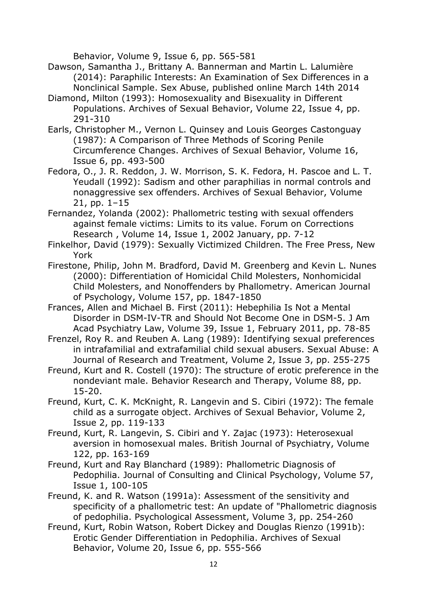Behavior, Volume 9, Issue 6, pp. 565-581

Dawson, Samantha J., Brittany A. Bannerman and Martin L. Lalumière (2014): Paraphilic Interests: An Examination of Sex Differences in a Nonclinical Sample. Sex Abuse, published online March 14th 2014

- Diamond, Milton (1993): Homosexuality and Bisexuality in Different Populations. Archives of Sexual Behavior, Volume 22, Issue 4, pp. 291-310
- Earls, Christopher M., Vernon L. Quinsey and Louis Georges Castonguay (1987): A Comparison of Three Methods of Scoring Penile Circumference Changes. Archives of Sexual Behavior, Volume 16, Issue 6, pp. 493-500
- Fedora, O., J. R. Reddon, J. W. Morrison, S. K. Fedora, H. Pascoe and L. T. Yeudall (1992): Sadism and other paraphilias in normal controls and nonaggressive sex offenders. Archives of Sexual Behavior, Volume 21, pp. 1–15
- Fernandez, Yolanda (2002): Phallometric testing with sexual offenders against female victims: Limits to its value. Forum on Corrections Research , Volume 14, Issue 1, 2002 January, pp. 7-12
- Finkelhor, David (1979): Sexually Victimized Children. The Free Press, New York
- Firestone, Philip, John M. Bradford, David M. Greenberg and Kevin L. Nunes (2000): Differentiation of Homicidal Child Molesters, Nonhomicidal Child Molesters, and Nonoffenders by Phallometry. American Journal of Psychology, Volume 157, pp. 1847-1850
- Frances, Allen and Michael B. First (2011): Hebephilia Is Not a Mental Disorder in DSM-IV-TR and Should Not Become One in DSM-5. J Am Acad Psychiatry Law, Volume 39, Issue 1, February 2011, pp. 78-85
- Frenzel, Roy R. and Reuben A. Lang (1989): Identifying sexual preferences in intrafamilial and extrafamilial child sexual abusers. Sexual Abuse: A Journal of Research and Treatment, Volume 2, Issue 3, pp. 255-275
- Freund, Kurt and R. Costell (1970): The structure of erotic preference in the nondeviant male. Behavior Research and Therapy, Volume 88, pp. 15-20.
- Freund, Kurt, C. K. McKnight, R. Langevin and S. Cibiri (1972): The female child as a surrogate object. Archives of Sexual Behavior, Volume 2, Issue 2, pp. 119-133
- Freund, Kurt, R. Langevin, S. Cibiri and Y. Zajac (1973): Heterosexual aversion in homosexual males. British Journal of Psychiatry, Volume 122, pp. 163-169
- Freund, Kurt and Ray Blanchard (1989): Phallometric Diagnosis of Pedophilia. Journal of Consulting and Clinical Psychology, Volume 57, Issue 1, 100-105
- Freund, K. and R. Watson (1991a): Assessment of the sensitivity and specificity of a phallometric test: An update of "Phallometric diagnosis of pedophilia. Psychological Assessment, Volume 3, pp. 254-260
- Freund, Kurt, Robin Watson, Robert Dickey and Douglas Rienzo (1991b): Erotic Gender Differentiation in Pedophilia. Archives of Sexual Behavior, Volume 20, Issue 6, pp. 555-566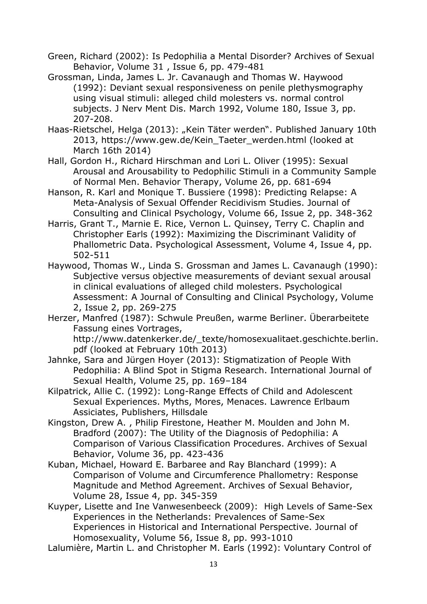Green, Richard (2002): Is Pedophilia a Mental Disorder? Archives of Sexual Behavior, Volume 31 , Issue 6, pp. 479-481

- Grossman, Linda, James L. Jr. Cavanaugh and Thomas W. Haywood (1992): Deviant sexual responsiveness on penile plethysmography using visual stimuli: alleged child molesters vs. normal control subjects. J Nerv Ment Dis. March 1992, Volume 180, Issue 3, pp. 207-208.
- Haas-Rietschel, Helga (2013): "Kein Täter werden". Published January 10th 2013, https://www.gew.de/Kein\_Taeter\_werden.html (looked at March 16th 2014)
- Hall, Gordon H., Richard Hirschman and Lori L. Oliver (1995): Sexual Arousal and Arousability to Pedophilic Stimuli in a Community Sample of Normal Men. Behavior Therapy, Volume 26, pp. 681-694
- Hanson, R. Karl and Monique T. Bussiere (1998): Predicting Relapse: A Meta-Analysis of Sexual Offender Recidivism Studies. Journal of Consulting and Clinical Psychology, Volume 66, Issue 2, pp. 348-362
- Harris, Grant T., Marnie E. Rice, Vernon L. Quinsey, Terry C. Chaplin and Christopher Earls (1992): Maximizing the Discriminant Validity of Phallometric Data. Psychological Assessment, Volume 4, Issue 4, pp. 502-511
- Haywood, Thomas W., Linda S. Grossman and James L. Cavanaugh (1990): Subjective versus objective measurements of deviant sexual arousal in clinical evaluations of alleged child molesters. Psychological Assessment: A Journal of Consulting and Clinical Psychology, Volume 2, Issue 2, pp. 269-275
- Herzer, Manfred (1987): Schwule Preußen, warme Berliner. Überarbeitete Fassung eines Vortrages,

http://www.datenkerker.de/\_texte/homosexualitaet.geschichte.berlin. pdf (looked at February 10th 2013)

- Jahnke, Sara and Jürgen Hoyer (2013): Stigmatization of People With Pedophilia: A Blind Spot in Stigma Research. International Journal of Sexual Health, Volume 25, pp. 169–184
- Kilpatrick, Allie C. (1992): Long-Range Effects of Child and Adolescent Sexual Experiences. Myths, Mores, Menaces. Lawrence Erlbaum Assiciates, Publishers, Hillsdale
- Kingston, Drew A. , Philip Firestone, Heather M. Moulden and John M. Bradford (2007): The Utility of the Diagnosis of Pedophilia: A Comparison of Various Classification Procedures. Archives of Sexual Behavior, Volume 36, pp. 423-436
- Kuban, Michael, Howard E. Barbaree and Ray Blanchard (1999): A Comparison of Volume and Circumference Phallometry: Response Magnitude and Method Agreement. Archives of Sexual Behavior, Volume 28, Issue 4, pp. 345-359
- Kuyper, Lisette and Ine Vanwesenbeeck (2009): High Levels of Same-Sex Experiences in the Netherlands: Prevalences of Same-Sex Experiences in Historical and International Perspective. Journal of Homosexuality, Volume 56, Issue 8, pp. 993-1010
- Lalumière, Martin L. and Christopher M. Earls (1992): Voluntary Control of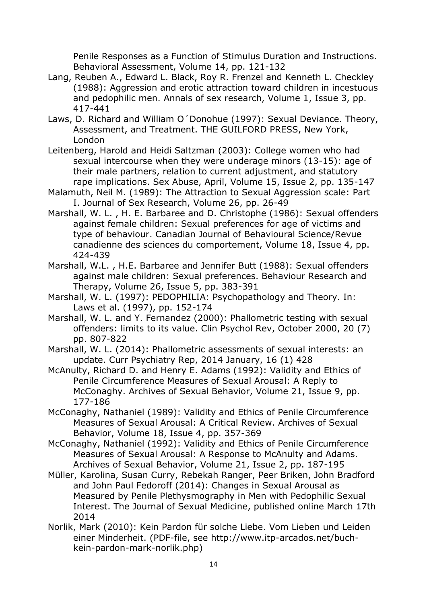Penile Responses as a Function of Stimulus Duration and Instructions. Behavioral Assessment, Volume 14, pp. 121-132

- Lang, Reuben A., Edward L. Black, Roy R. Frenzel and Kenneth L. Checkley (1988): Aggression and erotic attraction toward children in incestuous and pedophilic men. Annals of sex research, Volume 1, Issue 3, pp. 417-441
- Laws, D. Richard and William O´Donohue (1997): Sexual Deviance. Theory, Assessment, and Treatment. THE GUILFORD PRESS, New York, London
- Leitenberg, Harold and Heidi Saltzman (2003): College women who had sexual intercourse when they were underage minors (13-15): age of their male partners, relation to current adjustment, and statutory rape implications. Sex Abuse, April, Volume 15, Issue 2, pp. 135-147
- Malamuth, Neil M. (1989): The Attraction to Sexual Aggression scale: Part I. Journal of Sex Research, Volume 26, pp. 26-49
- Marshall, W. L. , H. E. Barbaree and D. Christophe (1986): Sexual offenders against female children: Sexual preferences for age of victims and type of behaviour. Canadian Journal of Behavioural Science/Revue canadienne des sciences du comportement, Volume 18, Issue 4, pp. 424-439
- Marshall, W.L. , H.E. Barbaree and Jennifer Butt (1988): Sexual offenders against male children: Sexual preferences. Behaviour Research and Therapy, Volume 26, Issue 5, pp. 383-391
- Marshall, W. L. (1997): PEDOPHILIA: Psychopathology and Theory. In: Laws et al. (1997), pp. 152-174
- Marshall, W. L. and Y. Fernandez (2000): Phallometric testing with sexual offenders: limits to its value. Clin Psychol Rev, October 2000, 20 (7) pp. 807-822
- Marshall, W. L. (2014): Phallometric assessments of sexual interests: an update. Curr Psychiatry Rep, 2014 January, 16 (1) 428
- McAnulty, Richard D. and Henry E. Adams (1992): Validity and Ethics of Penile Circumference Measures of Sexual Arousal: A Reply to McConaghy. Archives of Sexual Behavior, Volume 21, Issue 9, pp. 177-186
- McConaghy, Nathaniel (1989): Validity and Ethics of Penile Circumference Measures of Sexual Arousal: A Critical Review. Archives of Sexual Behavior, Volume 18, Issue 4, pp. 357-369
- McConaghy, Nathaniel (1992): Validity and Ethics of Penile Circumference Measures of Sexual Arousal: A Response to McAnulty and Adams. Archives of Sexual Behavior, Volume 21, Issue 2, pp. 187-195
- Müller, Karolina, Susan Curry, Rebekah Ranger, Peer Briken, John Bradford and John Paul Fedoroff (2014): Changes in Sexual Arousal as Measured by Penile Plethysmography in Men with Pedophilic Sexual Interest. The Journal of Sexual Medicine, published online March 17th 2014
- Norlik, Mark (2010): Kein Pardon für solche Liebe. Vom Lieben und Leiden einer Minderheit. (PDF-file, see http://www.itp-arcados.net/buchkein-pardon-mark-norlik.php)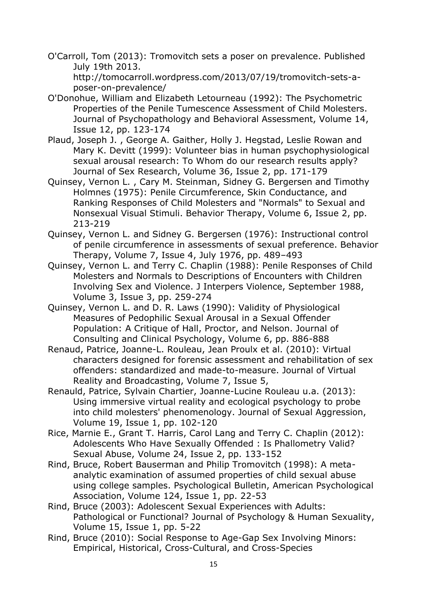O'Carroll, Tom (2013): Tromovitch sets a poser on prevalence. Published July 19th 2013.

http://tomocarroll.wordpress.com/2013/07/19/tromovitch-sets-aposer-on-prevalence/

- O'Donohue, William and Elizabeth Letourneau (1992): The Psychometric Properties of the Penile Tumescence Assessment of Child Molesters. Journal of Psychopathology and Behavioral Assessment, Volume 14, Issue 12, pp. 123-174
- Plaud, Joseph J. , George A. Gaither, Holly J. Hegstad, Leslie Rowan and Mary K. Devitt (1999): Volunteer bias in human psychophysiological sexual arousal research: To Whom do our research results apply? Journal of Sex Research, Volume 36, Issue 2, pp. 171-179
- Quinsey, Vernon L. , Cary M. Steinman, Sidney G. Bergersen and Timothy Holmnes (1975): Penile Circumference, Skin Conductance, and Ranking Responses of Child Molesters and "Normals" to Sexual and Nonsexual Visual Stimuli. Behavior Therapy, Volume 6, Issue 2, pp. 213-219
- Quinsey, Vernon L. and Sidney G. Bergersen (1976): Instructional control of penile circumference in assessments of sexual preference. Behavior Therapy, Volume 7, Issue 4, July 1976, pp. 489–493
- Quinsey, Vernon L. and Terry C. Chaplin (1988): Penile Responses of Child Molesters and Normals to Descriptions of Encounters with Children Involving Sex and Violence. J Interpers Violence, September 1988, Volume 3, Issue 3, pp. 259-274
- Quinsey, Vernon L. and D. R. Laws (1990): Validity of Physiological Measures of Pedophilic Sexual Arousal in a Sexual Offender Population: A Critique of Hall, Proctor, and Nelson. Journal of Consulting and Clinical Psychology, Volume 6, pp. 886-888
- Renaud, Patrice, Joanne-L. Rouleau, Jean Proulx et al. (2010): Virtual characters designed for forensic assessment and rehabilitation of sex offenders: standardized and made-to-measure. Journal of Virtual Reality and Broadcasting, Volume 7, Issue 5,
- Renauld, Patrice, Sylvain Chartier, Joanne-Lucine Rouleau u.a. (2013): Using immersive virtual reality and ecological psychology to probe into child molesters' phenomenology. Journal of Sexual Aggression, Volume 19, Issue 1, pp. 102-120
- Rice, Marnie E., Grant T. Harris, Carol Lang and Terry C. Chaplin (2012): Adolescents Who Have Sexually Offended : Is Phallometry Valid? Sexual Abuse, Volume 24, Issue 2, pp. 133-152
- Rind, Bruce, Robert Bauserman and Philip Tromovitch (1998): A metaanalytic examination of assumed properties of child sexual abuse using college samples. Psychological Bulletin, American Psychological Association, Volume 124, Issue 1, pp. 22-53
- Rind, Bruce (2003): Adolescent Sexual Experiences with Adults: Pathological or Functional? Journal of Psychology & Human Sexuality, Volume 15, Issue 1, pp. 5-22
- Rind, Bruce (2010): Social Response to Age-Gap Sex Involving Minors: Empirical, Historical, Cross-Cultural, and Cross-Species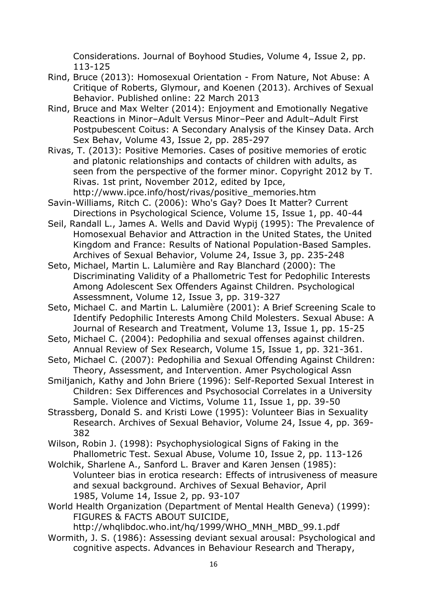Considerations. Journal of Boyhood Studies, Volume 4, Issue 2, pp. 113-125

- Rind, Bruce (2013): Homosexual Orientation From Nature, Not Abuse: A Critique of Roberts, Glymour, and Koenen (2013). Archives of Sexual Behavior. Published online: 22 March 2013
- Rind, Bruce and Max Welter (2014): Enjoyment and Emotionally Negative Reactions in Minor–Adult Versus Minor–Peer and Adult–Adult First Postpubescent Coitus: A Secondary Analysis of the Kinsey Data. Arch Sex Behav, Volume 43, Issue 2, pp. 285-297
- Rivas, T. (2013): Positive Memories. Cases of positive memories of erotic and platonic relationships and contacts of children with adults, as seen from the perspective of the former minor. Copyright 2012 by T. Rivas. 1st print, November 2012, edited by Ipce, http://www.ipce.info/host/rivas/positive\_memories.htm
- Savin-Williams, Ritch C. (2006): Who's Gay? Does It Matter? Current Directions in Psychological Science, Volume 15, Issue 1, pp. 40-44
- Seil, Randall L., James A. Wells and David Wypij (1995): The Prevalence of Homosexual Behavior and Attraction in the United States, the United Kingdom and France: Results of National Population-Based Samples. Archives of Sexual Behavior, Volume 24, Issue 3, pp. 235-248
- Seto, Michael, Martin L. Lalumière and Ray Blanchard (2000): The Discriminating Validity of a Phallometric Test for Pedophilic Interests Among Adolescent Sex Offenders Against Children. Psychological Assessmnent, Volume 12, Issue 3, pp. 319-327
- Seto, Michael C. and Martin L. Lalumière (2001): A Brief Screening Scale to Identify Pedophilic Interests Among Child Molesters. Sexual Abuse: A Journal of Research and Treatment, Volume 13, Issue 1, pp. 15-25
- Seto, Michael C. (2004): Pedophilia and sexual offenses against children. Annual Review of Sex Research, Volume 15, Issue 1, pp. 321-361.
- Seto, Michael C. (2007): Pedophilia and Sexual Offending Against Children: Theory, Assessment, and Intervention. Amer Psychological Assn
- Smiljanich, Kathy and John Briere (1996): Self-Reported Sexual Interest in Children: Sex Differences and Psychosocial Correlates in a University Sample. Violence and Victims, Volume 11, Issue 1, pp. 39-50
- Strassberg, Donald S. and Kristi Lowe (1995): Volunteer Bias in Sexuality Research. Archives of Sexual Behavior, Volume 24, Issue 4, pp. 369- 382
- Wilson, Robin J. (1998): Psychophysiological Signs of Faking in the Phallometric Test. Sexual Abuse, Volume 10, Issue 2, pp. 113-126
- Wolchik, Sharlene A., Sanford L. Braver and Karen Jensen (1985): Volunteer bias in erotica research: Effects of intrusiveness of measure and sexual background. Archives of Sexual Behavior, April 1985, Volume 14, Issue 2, pp. 93-107
- World Health Organization (Department of Mental Health Geneva) (1999): FIGURES & FACTS ABOUT SUICIDE,

http://whqlibdoc.who.int/hq/1999/WHO\_MNH\_MBD\_99.1.pdf

Wormith, J. S. (1986): Assessing deviant sexual arousal: Psychological and cognitive aspects. Advances in Behaviour Research and Therapy,